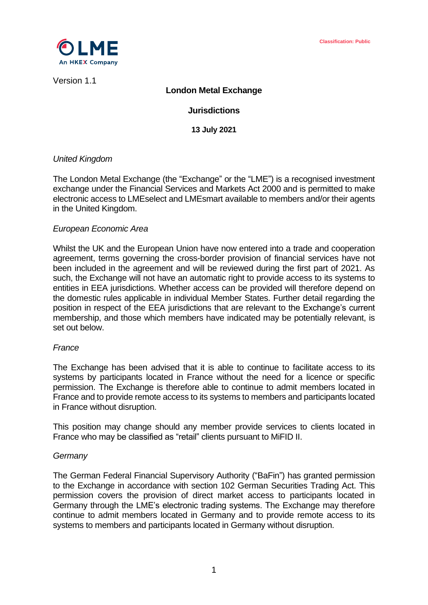

Version 1.1

# **London Metal Exchange**

# **Jurisdictions**

**13 July 2021**

# *United Kingdom*

The London Metal Exchange (the "Exchange" or the "LME") is a recognised investment exchange under the Financial Services and Markets Act 2000 and is permitted to make electronic access to LMEselect and LMEsmart available to members and/or their agents in the United Kingdom.

# *European Economic Area*

Whilst the UK and the European Union have now entered into a trade and cooperation agreement, terms governing the cross-border provision of financial services have not been included in the agreement and will be reviewed during the first part of 2021. As such, the Exchange will not have an automatic right to provide access to its systems to entities in EEA jurisdictions. Whether access can be provided will therefore depend on the domestic rules applicable in individual Member States. Further detail regarding the position in respect of the EEA jurisdictions that are relevant to the Exchange's current membership, and those which members have indicated may be potentially relevant, is set out below.

### *France*

The Exchange has been advised that it is able to continue to facilitate access to its systems by participants located in France without the need for a licence or specific permission. The Exchange is therefore able to continue to admit members located in France and to provide remote access to its systems to members and participants located in France without disruption.

This position may change should any member provide services to clients located in France who may be classified as "retail" clients pursuant to MiFID II.

### *Germany*

The German Federal Financial Supervisory Authority ("BaFin") has granted permission to the Exchange in accordance with section 102 German Securities Trading Act. This permission covers the provision of direct market access to participants located in Germany through the LME's electronic trading systems. The Exchange may therefore continue to admit members located in Germany and to provide remote access to its systems to members and participants located in Germany without disruption.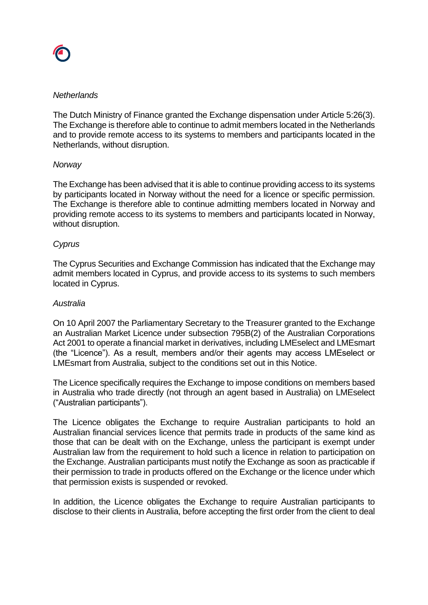# *Netherlands*

The Dutch Ministry of Finance granted the Exchange dispensation under Article 5:26(3). The Exchange is therefore able to continue to admit members located in the Netherlands and to provide remote access to its systems to members and participants located in the Netherlands, without disruption.

# *Norway*

The Exchange has been advised that it is able to continue providing access to its systems by participants located in Norway without the need for a licence or specific permission. The Exchange is therefore able to continue admitting members located in Norway and providing remote access to its systems to members and participants located in Norway, without disruption.

# *Cyprus*

The Cyprus Securities and Exchange Commission has indicated that the Exchange may admit members located in Cyprus, and provide access to its systems to such members located in Cyprus.

### *Australia*

On 10 April 2007 the Parliamentary Secretary to the Treasurer granted to the Exchange an Australian Market Licence under subsection 795B(2) of the Australian Corporations Act 2001 to operate a financial market in derivatives, including LMEselect and LMEsmart (the "Licence"). As a result, members and/or their agents may access LMEselect or LMEsmart from Australia, subject to the conditions set out in this Notice.

The Licence specifically requires the Exchange to impose conditions on members based in Australia who trade directly (not through an agent based in Australia) on LMEselect ("Australian participants").

The Licence obligates the Exchange to require Australian participants to hold an Australian financial services licence that permits trade in products of the same kind as those that can be dealt with on the Exchange, unless the participant is exempt under Australian law from the requirement to hold such a licence in relation to participation on the Exchange. Australian participants must notify the Exchange as soon as practicable if their permission to trade in products offered on the Exchange or the licence under which that permission exists is suspended or revoked.

In addition, the Licence obligates the Exchange to require Australian participants to disclose to their clients in Australia, before accepting the first order from the client to deal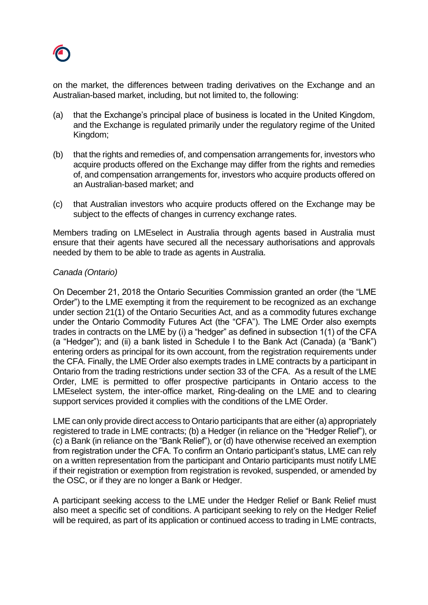

on the market, the differences between trading derivatives on the Exchange and an Australian-based market, including, but not limited to, the following:

- (a) that the Exchange's principal place of business is located in the United Kingdom, and the Exchange is regulated primarily under the regulatory regime of the United Kingdom;
- (b) that the rights and remedies of, and compensation arrangements for, investors who acquire products offered on the Exchange may differ from the rights and remedies of, and compensation arrangements for, investors who acquire products offered on an Australian-based market; and
- (c) that Australian investors who acquire products offered on the Exchange may be subject to the effects of changes in currency exchange rates.

Members trading on LMEselect in Australia through agents based in Australia must ensure that their agents have secured all the necessary authorisations and approvals needed by them to be able to trade as agents in Australia.

# *Canada (Ontario)*

On December 21, 2018 the Ontario Securities Commission granted an order (the "LME Order") to the LME exempting it from the requirement to be recognized as an exchange under section 21(1) of the Ontario Securities Act, and as a commodity futures exchange under the Ontario Commodity Futures Act (the "CFA"). The LME Order also exempts trades in contracts on the LME by (i) a "hedger" as defined in subsection 1(1) of the CFA (a "Hedger"); and (ii) a bank listed in Schedule I to the Bank Act (Canada) (a "Bank") entering orders as principal for its own account, from the registration requirements under the CFA. Finally, the LME Order also exempts trades in LME contracts by a participant in Ontario from the trading restrictions under section 33 of the CFA. As a result of the LME Order, LME is permitted to offer prospective participants in Ontario access to the LMEselect system, the inter-office market, Ring-dealing on the LME and to clearing support services provided it complies with the conditions of the LME Order.

LME can only provide direct access to Ontario participants that are either (a) appropriately registered to trade in LME contracts; (b) a Hedger (in reliance on the "Hedger Relief"), or (c) a Bank (in reliance on the "Bank Relief"), or (d) have otherwise received an exemption from registration under the CFA. To confirm an Ontario participant's status, LME can rely on a written representation from the participant and Ontario participants must notify LME if their registration or exemption from registration is revoked, suspended, or amended by the OSC, or if they are no longer a Bank or Hedger.

A participant seeking access to the LME under the Hedger Relief or Bank Relief must also meet a specific set of conditions. A participant seeking to rely on the Hedger Relief will be required, as part of its application or continued access to trading in LME contracts,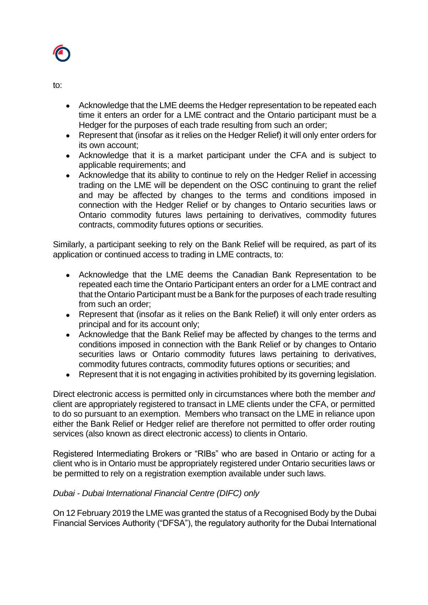

to:

- Acknowledge that the LME deems the Hedger representation to be repeated each time it enters an order for a LME contract and the Ontario participant must be a Hedger for the purposes of each trade resulting from such an order;
- Represent that (insofar as it relies on the Hedger Relief) it will only enter orders for its own account;
- Acknowledge that it is a market participant under the CFA and is subject to applicable requirements; and
- Acknowledge that its ability to continue to rely on the Hedger Relief in accessing trading on the LME will be dependent on the OSC continuing to grant the relief and may be affected by changes to the terms and conditions imposed in connection with the Hedger Relief or by changes to Ontario securities laws or Ontario commodity futures laws pertaining to derivatives, commodity futures contracts, commodity futures options or securities.

Similarly, a participant seeking to rely on the Bank Relief will be required, as part of its application or continued access to trading in LME contracts, to:

- Acknowledge that the LME deems the Canadian Bank Representation to be repeated each time the Ontario Participant enters an order for a LME contract and that the Ontario Participant must be a Bank for the purposes of each trade resulting from such an order;
- Represent that (insofar as it relies on the Bank Relief) it will only enter orders as principal and for its account only;
- Acknowledge that the Bank Relief may be affected by changes to the terms and conditions imposed in connection with the Bank Relief or by changes to Ontario securities laws or Ontario commodity futures laws pertaining to derivatives, commodity futures contracts, commodity futures options or securities; and
- Represent that it is not engaging in activities prohibited by its governing legislation.

Direct electronic access is permitted only in circumstances where both the member *and* client are appropriately registered to transact in LME clients under the CFA, or permitted to do so pursuant to an exemption. Members who transact on the LME in reliance upon either the Bank Relief or Hedger relief are therefore not permitted to offer order routing services (also known as direct electronic access) to clients in Ontario.

Registered Intermediating Brokers or "RIBs" who are based in Ontario or acting for a client who is in Ontario must be appropriately registered under Ontario securities laws or be permitted to rely on a registration exemption available under such laws.

# *Dubai - Dubai International Financial Centre (DIFC) only*

On 12 February 2019 the LME was granted the status of a Recognised Body by the Dubai Financial Services Authority ("DFSA"), the regulatory authority for the Dubai International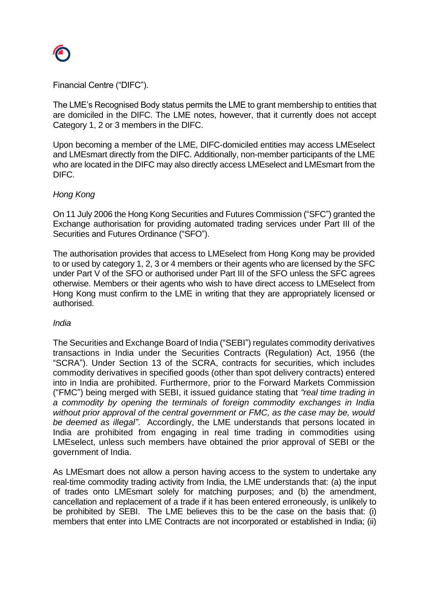

Financial Centre ("DIFC").

The LME's Recognised Body status permits the LME to grant membership to entities that are domiciled in the DIFC. The LME notes, however, that it currently does not accept Category 1, 2 or 3 members in the DIFC.

Upon becoming a member of the LME, DIFC-domiciled entities may access LMEselect and LMEsmart directly from the DIFC. Additionally, non-member participants of the LME who are located in the DIFC may also directly access LMEselect and LMEsmart from the DIFC.

# *Hong Kong*

On 11 July 2006 the Hong Kong Securities and Futures Commission ("SFC") granted the Exchange authorisation for providing automated trading services under Part III of the Securities and Futures Ordinance ("SFO").

The authorisation provides that access to LMEselect from Hong Kong may be provided to or used by category 1, 2, 3 or 4 members or their agents who are licensed by the SFC under Part V of the SFO or authorised under Part III of the SFO unless the SFC agrees otherwise. Members or their agents who wish to have direct access to LMEselect from Hong Kong must confirm to the LME in writing that they are appropriately licensed or authorised.

### *India*

The Securities and Exchange Board of India ("SEBI") regulates commodity derivatives transactions in India under the Securities Contracts (Regulation) Act, 1956 (the "SCRA"). Under Section 13 of the SCRA, contracts for securities, which includes commodity derivatives in specified goods (other than spot delivery contracts) entered into in India are prohibited. Furthermore, prior to the Forward Markets Commission ("FMC") being merged with SEBI, it issued guidance stating that *"real time trading in a commodity by opening the terminals of foreign commodity exchanges in India without prior approval of the central government or FMC, as the case may be, would be deemed as illegal"*. Accordingly, the LME understands that persons located in India are prohibited from engaging in real time trading in commodities using LMEselect, unless such members have obtained the prior approval of SEBI or the government of India.

As LMEsmart does not allow a person having access to the system to undertake any real-time commodity trading activity from India, the LME understands that: (a) the input of trades onto LMEsmart solely for matching purposes; and (b) the amendment, cancellation and replacement of a trade if it has been entered erroneously, is unlikely to be prohibited by SEBI. The LME believes this to be the case on the basis that: (i) members that enter into LME Contracts are not incorporated or established in India; (ii)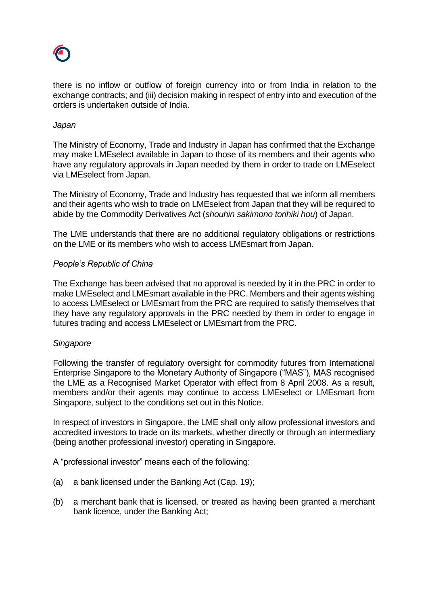

there is no inflow or outflow of foreign currency into or from India in relation to the exchange contracts; and (iii) decision making in respect of entry into and execution of the orders is undertaken outside of India.

## *Japan*

The Ministry of Economy, Trade and Industry in Japan has confirmed that the Exchange may make LMEselect available in Japan to those of its members and their agents who have any regulatory approvals in Japan needed by them in order to trade on LMEselect via LMEselect from Japan.

The Ministry of Economy, Trade and Industry has requested that we inform all members and their agents who wish to trade on LMEselect from Japan that they will be required to abide by the Commodity Derivatives Act (*shouhin sakimono torihiki hou*) of Japan.

The LME understands that there are no additional regulatory obligations or restrictions on the LME or its members who wish to access LMEsmart from Japan.

# *People's Republic of China*

The Exchange has been advised that no approval is needed by it in the PRC in order to make LMEselect and LMEsmart available in the PRC. Members and their agents wishing to access LMEselect or LMEsmart from the PRC are required to satisfy themselves that they have any regulatory approvals in the PRC needed by them in order to engage in futures trading and access LMEselect or LMEsmart from the PRC.

### *Singapore*

Following the transfer of regulatory oversight for commodity futures from International Enterprise Singapore to the Monetary Authority of Singapore ("MAS"), MAS recognised the LME as a Recognised Market Operator with effect from 8 April 2008. As a result, members and/or their agents may continue to access LMEselect or LMEsmart from Singapore, subject to the conditions set out in this Notice.

In respect of investors in Singapore, the LME shall only allow professional investors and accredited investors to trade on its markets, whether directly or through an intermediary (being another professional investor) operating in Singapore.

A "professional investor" means each of the following:

- (a) a bank licensed under the Banking Act (Cap. 19);
- (b) a merchant bank that is licensed, or treated as having been granted a merchant bank licence, under the Banking Act;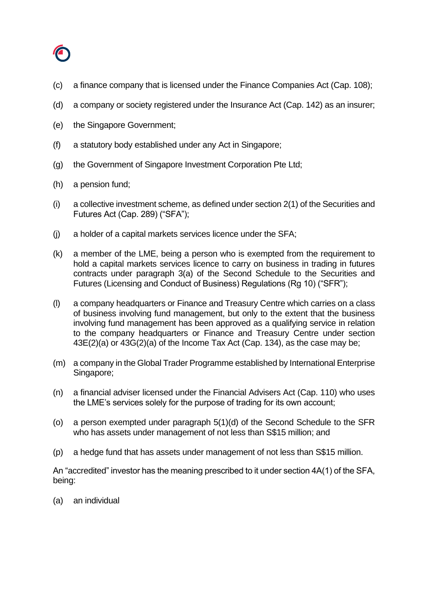

- (c) a finance company that is licensed under the Finance Companies Act (Cap. 108);
- (d) a company or society registered under the Insurance Act (Cap. 142) as an insurer;
- (e) the Singapore Government;
- (f) a statutory body established under any Act in Singapore;
- (g) the Government of Singapore Investment Corporation Pte Ltd;
- (h) a pension fund;
- (i) a collective investment scheme, as defined under section 2(1) of the Securities and Futures Act (Cap. 289) ("SFA");
- (j) a holder of a capital markets services licence under the SFA;
- (k) a member of the LME, being a person who is exempted from the requirement to hold a capital markets services licence to carry on business in trading in futures contracts under paragraph 3(a) of the Second Schedule to the Securities and Futures (Licensing and Conduct of Business) Regulations (Rg 10) ("SFR");
- (l) a company headquarters or Finance and Treasury Centre which carries on a class of business involving fund management, but only to the extent that the business involving fund management has been approved as a qualifying service in relation to the company headquarters or Finance and Treasury Centre under section 43E(2)(a) or 43G(2)(a) of the Income Tax Act (Cap. 134), as the case may be;
- (m) a company in the Global Trader Programme established by International Enterprise Singapore;
- (n) a financial adviser licensed under the Financial Advisers Act (Cap. 110) who uses the LME's services solely for the purpose of trading for its own account;
- (o) a person exempted under paragraph 5(1)(d) of the Second Schedule to the SFR who has assets under management of not less than S\$15 million; and
- (p) a hedge fund that has assets under management of not less than S\$15 million.

An "accredited" investor has the meaning prescribed to it under section 4A(1) of the SFA, being:

(a) an individual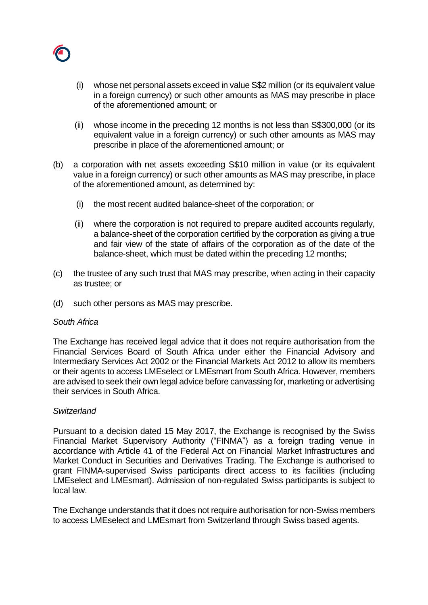

- (i) whose net personal assets exceed in value S\$2 million (or its equivalent value in a foreign currency) or such other amounts as MAS may prescribe in place of the aforementioned amount; or
- (ii) whose income in the preceding 12 months is not less than S\$300,000 (or its equivalent value in a foreign currency) or such other amounts as MAS may prescribe in place of the aforementioned amount; or
- (b) a corporation with net assets exceeding S\$10 million in value (or its equivalent value in a foreign currency) or such other amounts as MAS may prescribe, in place of the aforementioned amount, as determined by:
	- (i) the most recent audited balance-sheet of the corporation; or
	- (ii) where the corporation is not required to prepare audited accounts regularly, a balance-sheet of the corporation certified by the corporation as giving a true and fair view of the state of affairs of the corporation as of the date of the balance-sheet, which must be dated within the preceding 12 months;
- (c) the trustee of any such trust that MAS may prescribe, when acting in their capacity as trustee; or
- (d) such other persons as MAS may prescribe.

### *South Africa*

The Exchange has received legal advice that it does not require authorisation from the Financial Services Board of South Africa under either the Financial Advisory and Intermediary Services Act 2002 or the Financial Markets Act 2012 to allow its members or their agents to access LMEselect or LMEsmart from South Africa. However, members are advised to seek their own legal advice before canvassing for, marketing or advertising their services in South Africa.

# *Switzerland*

Pursuant to a decision dated 15 May 2017, the Exchange is recognised by the Swiss Financial Market Supervisory Authority ("FINMA") as a foreign trading venue in accordance with Article 41 of the Federal Act on Financial Market Infrastructures and Market Conduct in Securities and Derivatives Trading. The Exchange is authorised to grant FINMA-supervised Swiss participants direct access to its facilities (including LMEselect and LMEsmart). Admission of non-regulated Swiss participants is subject to local law.

The Exchange understands that it does not require authorisation for non-Swiss members to access LMEselect and LMEsmart from Switzerland through Swiss based agents.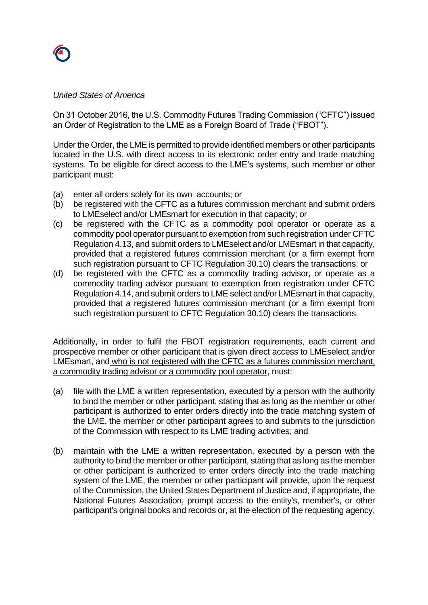

### *United States of America*

On 31 October 2016, the U.S. Commodity Futures Trading Commission ("CFTC") issued an Order of Registration to the LME as a Foreign Board of Trade ("FBOT").

Under the Order, the LME is permitted to provide identified members or other participants located in the U.S. with direct access to its electronic order entry and trade matching systems. To be eligible for direct access to the LME's systems, such member or other participant must:

- (a) enter all orders solely for its own accounts; or
- (b) be registered with the CFTC as a futures commission merchant and submit orders to LMEselect and/or LMEsmart for execution in that capacity; or
- (c) be registered with the CFTC as a commodity pool operator or operate as a commodity pool operator pursuant to exemption from such registration under CFTC Regulation 4.13, and submit orders to LMEselect and/or LMEsmart in that capacity, provided that a registered futures commission merchant (or a firm exempt from such registration pursuant to CFTC Regulation 30.10) clears the transactions; or
- (d) be registered with the CFTC as a commodity trading advisor, or operate as a commodity trading advisor pursuant to exemption from registration under CFTC Regulation 4.14, and submit orders to LME select and/or LMEsmart in that capacity, provided that a registered futures commission merchant (or a firm exempt from such registration pursuant to CFTC Regulation 30.10) clears the transactions.

Additionally, in order to fulfil the FBOT registration requirements, each current and prospective member or other participant that is given direct access to LMEselect and/or LMEsmart, and who is not registered with the CFTC as a futures commission merchant, a commodity trading advisor or a commodity pool operator, must:

- (a) file with the LME a written representation, executed by a person with the authority to bind the member or other participant, stating that as long as the member or other participant is authorized to enter orders directly into the trade matching system of the LME, the member or other participant agrees to and submits to the jurisdiction of the Commission with respect to its LME trading activities; and
- (b) maintain with the LME a written representation, executed by a person with the authority to bind the member or other participant, stating that as long as the member or other participant is authorized to enter orders directly into the trade matching system of the LME, the member or other participant will provide, upon the request of the Commission, the United States Department of Justice and, if appropriate, the National Futures Association, prompt access to the entity's, member's, or other participant's original books and records or, at the election of the requesting agency,